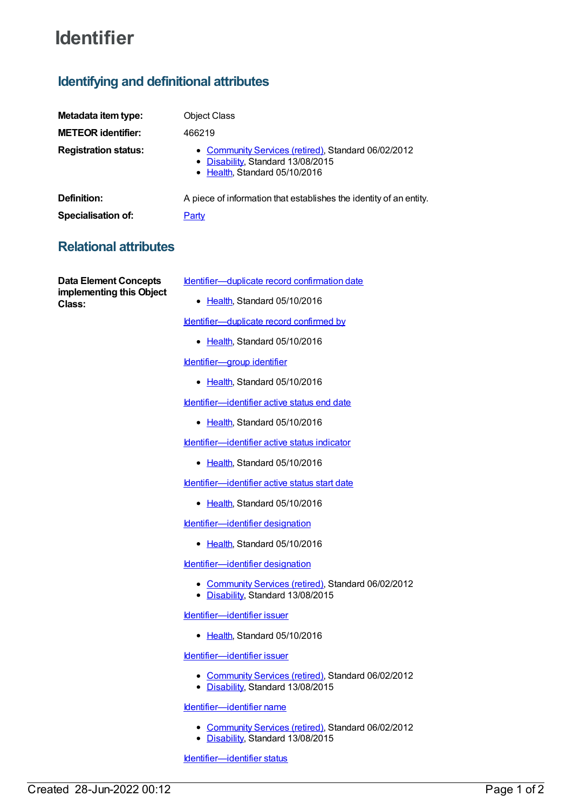# **Identifier**

## **Identifying and definitional attributes**

| Metadata item type:         | <b>Object Class</b>                                                                                                       |
|-----------------------------|---------------------------------------------------------------------------------------------------------------------------|
| <b>METEOR identifier:</b>   | 466219                                                                                                                    |
| <b>Registration status:</b> | • Community Services (retired), Standard 06/02/2012<br>• Disability, Standard 13/08/2015<br>• Health, Standard 05/10/2016 |
| Definition:                 | A piece of information that establishes the identity of an entity.                                                        |
| <b>Specialisation of:</b>   | <u>Party</u>                                                                                                              |

### **Relational attributes**

**Data Element Concepts implementing this Object Class:**

- [Identifier—duplicate](https://meteor.aihw.gov.au/content/527931) record confirmation date
	- [Health](https://meteor.aihw.gov.au/RegistrationAuthority/12), Standard 05/10/2016

[Identifier—duplicate](https://meteor.aihw.gov.au/content/519993) record confirmed by

• [Health](https://meteor.aihw.gov.au/RegistrationAuthority/12), Standard 05/10/2016

[Identifier—group](https://meteor.aihw.gov.au/content/519235) identifier

• [Health](https://meteor.aihw.gov.au/RegistrationAuthority/12), Standard 05/10/2016

[Identifier—identifier](https://meteor.aihw.gov.au/content/612780) active status end date

• [Health](https://meteor.aihw.gov.au/RegistrationAuthority/12), Standard 05/10/2016

[Identifier—identifier](https://meteor.aihw.gov.au/content/609116) active status indicator

• [Health](https://meteor.aihw.gov.au/RegistrationAuthority/12), Standard 05/10/2016

[Identifier—identifier](https://meteor.aihw.gov.au/content/612768) active status start date

● [Health](https://meteor.aihw.gov.au/RegistrationAuthority/12), Standard 05/10/2016

[Identifier—identifier](https://meteor.aihw.gov.au/content/612739) designation

• [Health](https://meteor.aihw.gov.au/RegistrationAuthority/12), Standard 05/10/2016

[Identifier—identifier](https://meteor.aihw.gov.au/content/466232) designation

- [Community](https://meteor.aihw.gov.au/RegistrationAuthority/1) Services (retired), Standard 06/02/2012
- [Disability](https://meteor.aihw.gov.au/RegistrationAuthority/16), Standard 13/08/2015

[Identifier—identifier](https://meteor.aihw.gov.au/content/612709) issuer

• [Health](https://meteor.aihw.gov.au/RegistrationAuthority/12), Standard 05/10/2016

[Identifier—identifier](https://meteor.aihw.gov.au/content/466239) issuer

- [Community](https://meteor.aihw.gov.au/RegistrationAuthority/1) Services (retired), Standard 06/02/2012
- [Disability](https://meteor.aihw.gov.au/RegistrationAuthority/16), Standard 13/08/2015

[Identifier—identifier](https://meteor.aihw.gov.au/content/466221) name

- [Community](https://meteor.aihw.gov.au/RegistrationAuthority/1) Services (retired), Standard 06/02/2012
- [Disability](https://meteor.aihw.gov.au/RegistrationAuthority/16), Standard 13/08/2015

[Identifier—identifier](https://meteor.aihw.gov.au/content/466245) status